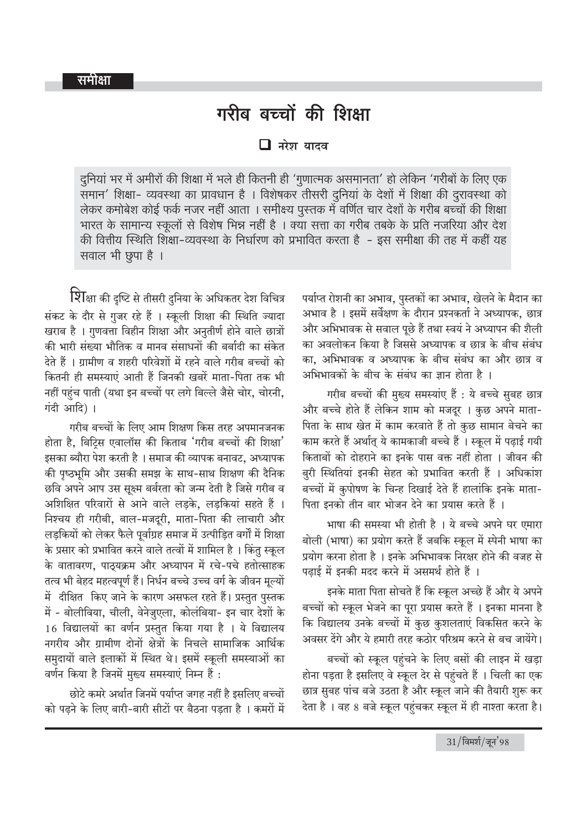## गरीब बच्चों की शिक्षा

 $\Box$  नरेश यादव

दुनियां भर में अमीरों की शिक्षा में भले ही कितनी ही 'गुणात्मक असमानता' हो लेकिन 'गरीबों के लिए एक समान' शिक्षा- व्यवस्था का प्रावधान है । विशेषकर तीसरी दुनियां के देशों में शिक्षा की दुरावस्था को लेकर कमोबेश कोई फर्क नजर नहीं आता । समीक्ष्य पुस्तक में वर्णित चार देशों के गरीब बच्चों की शिक्षा भारत के सामान्य स्कूलों से विशेष भिन्न नहीं है । क्या सत्ता का गरीब तबके के प्रति नजरिया और देश की वित्तीय स्थिति शिक्षा-व्यवस्था के निर्धारण को प्रभावित करता है - इस समीक्षा की तह में कहीं यह सवाल भी छूपा है ।

शिक्षा की दृष्टि से तीसरी दुनिया के अधिकतर देश विचित्र संकट के दौर से गुजर रहे हैं । स्कूली शिक्षा की स्थिति ज्यादा खराब है । गुणवत्ता विहीन शिक्षा और अनुतीर्ण होने वाले छात्रों की भारी संख्या भौतिक व मानव संसाधनों की बर्बादी का संकेत देते हैं । ग्रामीण व शहरी परिवेशों में रहने वाले गरीब बच्चों को कितनी ही समस्याएं आती हैं जिनकी खबरें माता-पिता तक भी नहीं पहुंच पाती (यथा इन बच्चों पर लगे बिल्ले जैसे चोर, चोरनी, गंदी आदि)।

गरीब बच्चों के लिए आम शिक्षण किस तरह अपमानजनक होता है, बिटिस एवालॉस की किताब 'गरीब बच्चों की शिक्षा' इसका ब्यौरा पेश करती है । समाज की व्यापक बनावट, अध्यापक की पष्ठभूमि और उसकी समझ के साथ-साथ शिक्षण की दैनिक छवि अपने आप उस सुक्ष्म बर्बरता को जन्म देती है जिसे गरीब व अशिक्षित परिवारों से आने वाले लडके. लडकियां सहते हैं । निश्चय ही गरीबी. बाल-मजदरी. माता-पिता की लाचारी और लडकियों को लेकर फैले पूर्वाग्रह समाज में उत्पीडित वर्गों में शिक्षा के प्रसार को प्रभावित करने वाले तत्वों में शामिल है । किंतु स्कुल के वातावरण, पाठ्यक्रम और अध्यापन में रचे-पचे हतोत्साहक तत्व भी बेहद महत्वपूर्ण हैं। निर्धन बच्चे उच्च वर्ग के जीवन मूल्यों में दीक्षित किए जाने के कारण असफल रहते हैं। प्रस्तुत पुस्तक में - बोलीविया, चीली, वेनेजुएला, कोलंबिया- इन चार देशों के 16 विद्यालयों का वर्णन प्रस्तुत किया गया है । ये विद्यालय नगरीय और ग्रामीण दोनों क्षेत्रों के निचले सामाजिक आर्थिक समुदायों वाले इलाकों में स्थित थे। इसमें स्कूली समस्याओं का वर्णन किया है जिनमें मुख्य समस्याएं निम्न हैं :

छोटे कमरे अर्थात जिनमें पर्याप्त जगह नहीं है इसलिए बच्चों को पढने के लिए बारी-बारी सीटों पर बैठना पडता है । कमरों में

पर्याप्त रोशनी का अभाव, पुस्तकों का अभाव, खेलने के मैदान का अभाव है । इसमें सर्वेक्षण के दौरान प्रश्नकर्ता ने अध्यापक, छात्र और अभिभावक से सवाल पूछे हैं तथा स्वयं ने अध्यापन की शैली का अवलोकन किया है जिससे अध्यापक व छात्र के बीच संबंध का. अभिभावक व अध्यापक के बीच संबंध का और छात्र व अभिभावकों के बीच के संबंध का ज्ञान होता है ।

गरीब बच्चों की मुख्य समस्यांए हैं : ये बच्चे सुबह छात्र और बच्चे होते हैं लेकिन शाम को मजदूर । कुछ अपने माता-पिता के साथ खेत में काम करवाते हैं तो कुछ सामान बेचने का काम करते हैं अर्थात् ये कामकाजी बच्चे हैं । स्कूल में पढ़ाई गयी किताबों को दोहराने का इनके पास वक्त नहीं होता । जीवन की बुरी स्थितियां इनकी सेहत को प्रभावित करती हैं । अधिकांश बच्चों में कुपोषण के चिन्ह दिखाई देते हैं हालांकि इनके माता-पिता इनको तीन बार भोजन देने का प्रयास करते हैं ।

भाषा की समस्या भी होती है । ये बच्चे अपने घर एमारा बोली (भाषा) का प्रयोग करते हैं जबकि स्कल में स्पेनी भाषा का प्रयोग करना होता है । इनके अभिभावक निरक्षर होने की वजह से पढ़ाई में इनकी मदद करने में असमर्थ होते हैं ।

इनके माता पिता सोचते हैं कि स्कूल अच्छे हैं और ये अपने बच्चों को स्कूल भेजने का पूरा प्रयास करते हैं । इनका मानना है कि विद्यालय उनके बच्चों में कुछ कुशलताएं विकसित करने के अवसर देंगे और ये हमारी तरह कठोर परिश्रम करने से बच जायेंगे।

बच्चों को स्कूल पहुंचने के लिए बसों की लाइन में खड़ा होना पड़ता है इसलिए वे स्कूल देर से पहुंचते हैं । चिली का एक छात्र सुबह पांच बजे उठता है और स्कूल जाने की तैयारी शुरू कर देता है । वह 8 बजे स्कूल पहुंचकर स्कूल में ही नाश्ता करता है।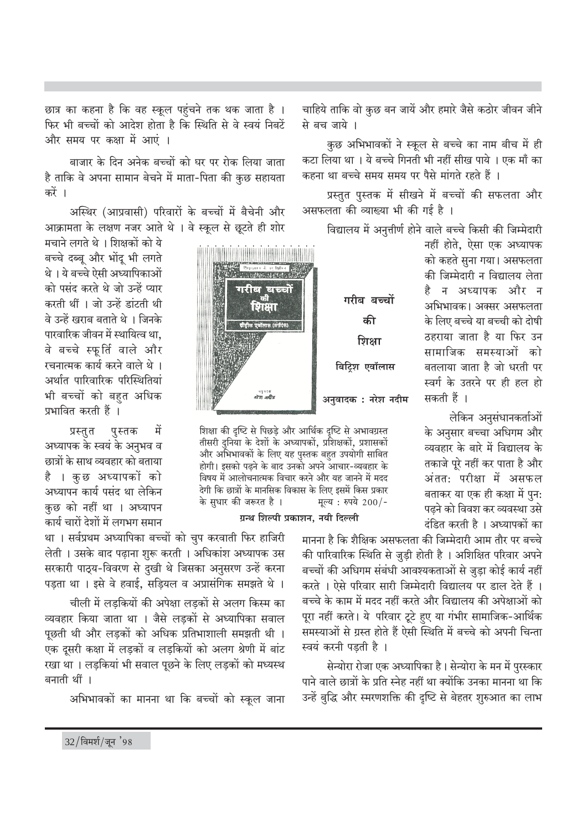छात्र का कहना है कि वह स्कूल पहुंचने तक थक जाता है । फिर भी बच्चों को आदेश होता है कि स्थिति से वे स्वयं निबटें और समय पर कक्षा में आएं ।

बाजार के दिन अनेक बच्चों को घर पर रोक लिया जाता है ताकि वे अपना सामान बेचने में माता-पिता की कुछ सहायता करें ।

अस्थिर (आप्रवासी) परिवारों के बच्चों में बैचेनी और आक्रामता के लक्षण नजर आते थे । वे स्कूल से छुटते ही शोर

मचाने लगते थे । शिक्षकों को ये बच्चे दब्बू और भोंदू भी लगते थे। ये बच्चे ऐसी अध्यापिकाओं को पसंद करते थे जो उन्हें प्यार करती थीं । जो उन्हें डांटती थी वे उन्हें खराब बताते थे । जिनके पारवारिक जीवन में स्थायित्व था. वे बच्चे स्फूर्ति वाले और रचनात्मक कार्य करने वाले थे । अर्थात पारिवारिक परिस्थितियां भी बच्चों को बहत अधिक प्रभावित करती हैं ।

में पुस्तक प्रस्तुत अध्यापक के स्वयं के अनुभव व छात्रों के साथ व्यवहार को बताया है । कुछ अध्यापकों को अध्यापन कार्य पसंद था लेकिन कुछ को नहीं था । अध्यापन कार्य चारों देशों में लगभग समान

था । सर्वप्रथम अध्यापिका बच्चों को चुप करवाती फिर हाजिरी लेती । उसके बाद पढ़ाना शुरू करती । अधिकांश अध्यापक उस सरकारी पाठ्य-विवरण से दुखी थे जिसका अनुसरण उन्हें करना पड़ता था । इसे वे हवाई, सड़ियल व अप्रासंगिक समझते थे ।

चीली में लडकियों की अपेक्षा लडकों से अलग किस्म का व्यवहार किया जाता था । जैसे लडकों से अध्यापिका सवाल पछती थी और लडकों को अधिक प्रतिभाशाली समझती थी । एक दूसरी कक्षा में लड़कों व लड़कियों को अलग श्रेणी में बांट रखा था । लड़कियां भी सवाल पूछने के लिए लड़कों को मध्यस्थ बनाती थीं ।

अभिभावकों का मानना था कि बच्चों को स्कूल जाना

चाहिये ताकि वो कुछ बन जायें और हमारे जैसे कठोर जीवन जीने से बच जाये ।

कुछ अभिभावकों ने स्कूल से बच्चे का नाम बीच में ही कटा लिया था । ये बच्चे गिनती भी नहीं सीख पाये । एक माँ का कहना था बच्चे समय समय पर पैसे मांगते रहते हैं ।

प्रस्तुत पुस्तक में सीखने में बच्चों की सफलता और असफलता की व्याख्या भी की गई है ।

विद्यालय में अनुत्तीर्ण होने वाले बच्चे किसी की जिम्मेदारी

नहीं होते. ऐसा एक अध्यापक को कहते सुना गया। असफलता की जिम्मेदारी न विद्यालय लेता न अध्यापक और न अभिभावक। अक्सर असफलता के लिए बच्चे या बच्ची को दोषी ठहराया जाता है या फिर उन सामाजिक समस्याओं को बतलाया जाता है जो धरती पर स्वर्ग के उतरने पर ही हल हो सकती हैं ।

लेकिन अनुसंधानकर्ताओं के अनुसार बच्चा अधिगम और व्यवहार के बारे में विद्यालय के तकाजे पूरे नहीं कर पाता है और अंतत: परीक्षा में असफल बताकर या एक ही कक्षा में पुन: पढने को विवश कर व्यवस्था उसे दंडित करती है । अध्यापकों का

मानना है कि शैक्षिक असफलता की जिम्मेदारी आम तौर पर बच्चे की पारिवारिक स्थिति से जुड़ी होती है । अशिक्षित परिवार अपने बच्चों की अधिगम संबंधी आवश्यकताओं से जुडा कोई कार्य नहीं करते । ऐसे परिवार सारी जिम्मेदारी विद्यालय पर डाल देते हैं । बच्चे के काम में मदद नहीं करते और विद्यालय की अपेक्षाओं को पूरा नहीं करते। ये परिवार टूटे हुए या गंभीर सामाजिक-आर्थिक समस्याओं से ग्रस्त होते हैं ऐसी स्थिति में बच्चे को अपनी चिन्ता स्वयं करनी पडती है ।

सेन्योरा रोजा एक अध्यापिका है। सेन्योरा के मन में पुरस्कार पाने वाले छात्रों के प्रति स्नेह नहीं था क्योंकि उनका मानना था कि उन्हें बुद्धि और स्मरणशक्ति की दृष्टि से बेहतर शुरुआत का लाभ

**Bound 3 at black** गरीब बच्चों गरीब बच्चों शिक्षा की शिक्षा बिट्रिश एवॉलास अनुवादक : नरेश नदीम

शिक्षा की दृष्टि से पिछड़े और आर्थिक दृष्टि से अभावग्रस्त तीसरी दुनिया के देशों के अध्यापकों, प्रशिक्षकों, प्रशासकों और अभिभावकों के लिए यह पुस्तक बहुत उपयोगी साबित होगी। इसको पढने के बाद उनको अपने आचार-व्यवहार के विषय में आलोचनात्मक विचार करने और यह जानने में मदद देगी कि छात्रों के मानसिक विकास के लिए इसमें किस प्रकार के सुधार की जरूरत है । मूल्य: रुपये 200/-

ग्रन्थ शिल्पी प्रकाशन, नयी दिल्ली

 $32/$ विमर्श/जून '98